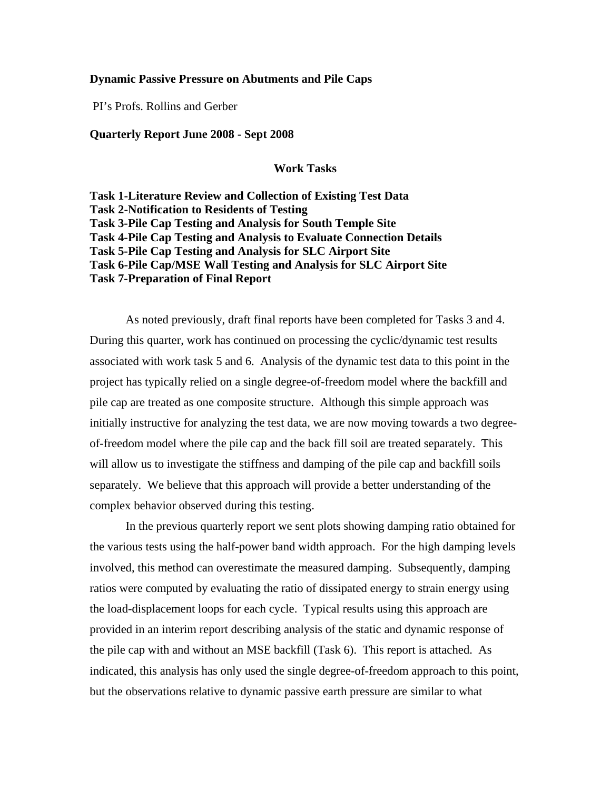## **Dynamic Passive Pressure on Abutments and Pile Caps**

PI's Profs. Rollins and Gerber

## **Quarterly Report June 2008 - Sept 2008**

**Work Tasks** 

**Task 1-Literature Review and Collection of Existing Test Data Task 2-Notification to Residents of Testing Task 3-Pile Cap Testing and Analysis for South Temple Site Task 4-Pile Cap Testing and Analysis to Evaluate Connection Details Task 5-Pile Cap Testing and Analysis for SLC Airport Site Task 6-Pile Cap/MSE Wall Testing and Analysis for SLC Airport Site Task 7-Preparation of Final Report** 

 As noted previously, draft final reports have been completed for Tasks 3 and 4. During this quarter, work has continued on processing the cyclic/dynamic test results associated with work task 5 and 6. Analysis of the dynamic test data to this point in the project has typically relied on a single degree-of-freedom model where the backfill and pile cap are treated as one composite structure. Although this simple approach was initially instructive for analyzing the test data, we are now moving towards a two degreeof-freedom model where the pile cap and the back fill soil are treated separately. This will allow us to investigate the stiffness and damping of the pile cap and backfill soils separately. We believe that this approach will provide a better understanding of the complex behavior observed during this testing.

In the previous quarterly report we sent plots showing damping ratio obtained for the various tests using the half-power band width approach. For the high damping levels involved, this method can overestimate the measured damping. Subsequently, damping ratios were computed by evaluating the ratio of dissipated energy to strain energy using the load-displacement loops for each cycle. Typical results using this approach are provided in an interim report describing analysis of the static and dynamic response of the pile cap with and without an MSE backfill (Task 6). This report is attached. As indicated, this analysis has only used the single degree-of-freedom approach to this point, but the observations relative to dynamic passive earth pressure are similar to what